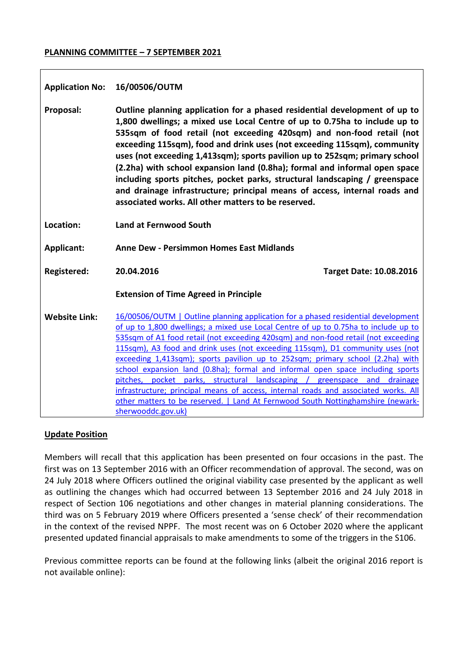## **PLANNING COMMITTEE – 7 SEPTEMBER 2021**

| <b>Application No:</b> | 16/00506/OUTM                                                                                                                                                                                                                                                                                                                                                                                                                                                                                                                                                                                                                                                                                                                                                                                   |
|------------------------|-------------------------------------------------------------------------------------------------------------------------------------------------------------------------------------------------------------------------------------------------------------------------------------------------------------------------------------------------------------------------------------------------------------------------------------------------------------------------------------------------------------------------------------------------------------------------------------------------------------------------------------------------------------------------------------------------------------------------------------------------------------------------------------------------|
| Proposal:              | Outline planning application for a phased residential development of up to<br>1,800 dwellings; a mixed use Local Centre of up to 0.75ha to include up to<br>535sqm of food retail (not exceeding 420sqm) and non-food retail (not<br>exceeding 115sqm), food and drink uses (not exceeding 115sqm), community<br>uses (not exceeding 1,413sqm); sports pavilion up to 252sqm; primary school<br>(2.2ha) with school expansion land (0.8ha); formal and informal open space<br>including sports pitches, pocket parks, structural landscaping / greenspace<br>and drainage infrastructure; principal means of access, internal roads and<br>associated works. All other matters to be reserved.                                                                                                  |
| Location:              | <b>Land at Fernwood South</b>                                                                                                                                                                                                                                                                                                                                                                                                                                                                                                                                                                                                                                                                                                                                                                   |
| Applicant:             | <b>Anne Dew - Persimmon Homes East Midlands</b>                                                                                                                                                                                                                                                                                                                                                                                                                                                                                                                                                                                                                                                                                                                                                 |
| <b>Registered:</b>     | 20.04.2016<br><b>Target Date: 10.08.2016</b>                                                                                                                                                                                                                                                                                                                                                                                                                                                                                                                                                                                                                                                                                                                                                    |
|                        | <b>Extension of Time Agreed in Principle</b>                                                                                                                                                                                                                                                                                                                                                                                                                                                                                                                                                                                                                                                                                                                                                    |
| <b>Website Link:</b>   | 16/00506/OUTM   Outline planning application for a phased residential development<br>of up to 1,800 dwellings; a mixed use Local Centre of up to 0.75ha to include up to<br>535sqm of A1 food retail (not exceeding 420sqm) and non-food retail (not exceeding<br>115sqm), A3 food and drink uses (not exceeding 115sqm), D1 community uses (not<br>exceeding 1,413sqm); sports pavilion up to 252sqm; primary school (2.2ha) with<br>school expansion land (0.8ha); formal and informal open space including sports<br>pitches, pocket parks, structural landscaping / greenspace and drainage<br>infrastructure; principal means of access, internal roads and associated works. All<br>other matters to be reserved.   Land At Fernwood South Nottinghamshire (newark-<br>sherwooddc.gov.uk) |

## **Update Position**

Members will recall that this application has been presented on four occasions in the past. The first was on 13 September 2016 with an Officer recommendation of approval. The second, was on 24 July 2018 where Officers outlined the original viability case presented by the applicant as well as outlining the changes which had occurred between 13 September 2016 and 24 July 2018 in respect of Section 106 negotiations and other changes in material planning considerations. The third was on 5 February 2019 where Officers presented a 'sense check' of their recommendation in the context of the revised NPPF. The most recent was on 6 October 2020 where the applicant presented updated financial appraisals to make amendments to some of the triggers in the S106.

Previous committee reports can be found at the following links (albeit the original 2016 report is not available online):